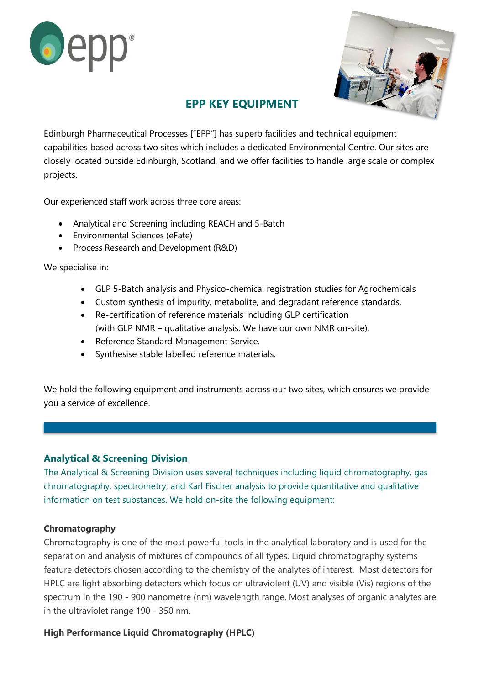



# **EPP KEY EQUIPMENT**

Edinburgh Pharmaceutical Processes ["EPP"] has superb facilities and technical equipment capabilities based across two sites which includes a dedicated Environmental Centre. Our sites are closely located outside Edinburgh, Scotland, and we offer facilities to handle large scale or complex projects.

Our experienced staff work across three core areas:

- Analytical and Screening including REACH and 5-Batch
- Environmental Sciences (eFate)
- Process Research and Development (R&D)

We specialise in:

- GLP 5-Batch analysis and Physico-chemical registration studies for Agrochemicals
- Custom synthesis of impurity, metabolite, and degradant reference standards.
- Re-certification of reference materials including GLP certification (with GLP NMR – qualitative analysis. We have our own NMR on-site).
- Reference Standard Management Service.
- Synthesise stable labelled reference materials.

We hold the following equipment and instruments across our two sites, which ensures we provide you a service of excellence.

# **Analytical & Screening Division**

The Analytical & Screening Division uses several techniques including liquid chromatography, gas chromatography, spectrometry, and Karl Fischer analysis to provide quantitative and qualitative information on test substances. We hold on-site the following equipment:

# **Chromatography**

Chromatography is one of the most powerful tools in the analytical laboratory and is used for the separation and analysis of mixtures of compounds of all types. Liquid chromatography systems feature detectors chosen according to the chemistry of the analytes of interest. Most detectors for HPLC are light absorbing detectors which focus on ultraviolent (UV) and visible (Vis) regions of the spectrum in the 190 - 900 nanometre (nm) wavelength range. Most analyses of organic analytes are in the ultraviolet range 190 - 350 nm.

# **High Performance Liquid Chromatography (HPLC)**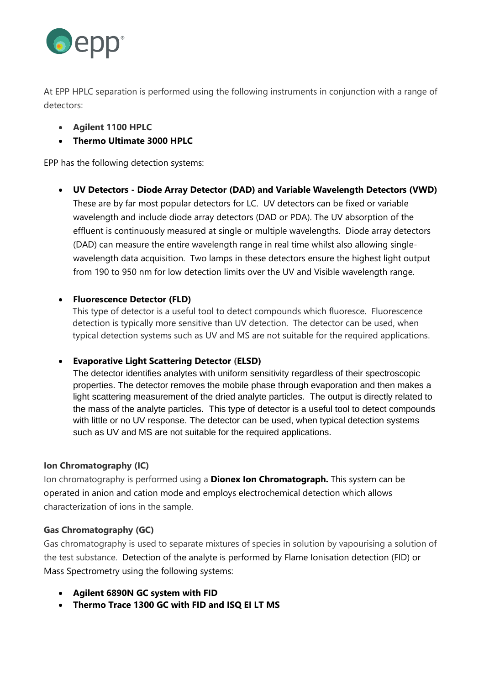

At EPP HPLC separation is performed using the following instruments in conjunction with a range of detectors:

- **Agilent 1100 HPLC**
- **Thermo Ultimate 3000 HPLC**

EPP has the following detection systems:

• **UV Detectors - Diode Array Detector (DAD) and Variable Wavelength Detectors (VWD)** These are by far most popular detectors for LC. UV detectors can be fixed or variable wavelength and include diode array detectors (DAD or PDA). The UV absorption of the effluent is continuously measured at single or multiple wavelengths. Diode array detectors (DAD) can measure the entire wavelength range in real time whilst also allowing singlewavelength data acquisition. Two lamps in these detectors ensure the highest light output from 190 to 950 nm for low detection limits over the UV and Visible wavelength range.

# • **Fluorescence Detector (FLD)**

This type of detector is a useful tool to detect compounds which fluoresce. Fluorescence detection is typically more sensitive than UV detection. The detector can be used, when typical detection systems such as UV and MS are not suitable for the required applications.

# • **Evaporative Light Scattering Detector (ELSD)**

The detector identifies analytes with uniform sensitivity regardless of their spectroscopic properties. The detector removes the mobile phase through evaporation and then makes a light scattering measurement of the dried analyte particles. The output is directly related to the mass of the analyte particles. This type of detector is a useful tool to detect compounds with little or no UV response. The detector can be used, when typical detection systems such as UV and MS are not suitable for the required applications.

# **Ion Chromatography (IC)**

Ion chromatography is performed using a **Dionex Ion Chromatograph.** This system can be operated in anion and cation mode and employs electrochemical detection which allows characterization of ions in the sample.

# **Gas Chromatography (GC)**

Gas chromatography is used to separate mixtures of species in solution by vapourising a solution of the test substance. Detection of the analyte is performed by Flame Ionisation detection (FID) or Mass Spectrometry using the following systems:

- **Agilent 6890N GC system with FID**
- **Thermo Trace 1300 GC with FID and ISQ EI LT MS**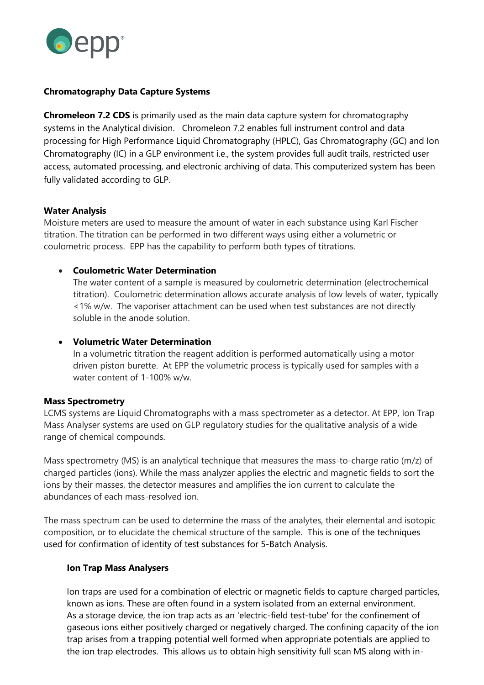

#### **Chromatography Data Capture Systems**

**Chromeleon 7.2 CDS** is primarily used as the main data capture system for chromatography systems in the Analytical division. Chromeleon 7.2 enables full instrument control and data processing for High Performance Liquid Chromatography (HPLC), Gas Chromatography (GC) and Ion Chromatography (IC) in a GLP environment i.e., the system provides full audit trails, restricted user access, automated processing, and electronic archiving of data. This computerized system has been fully validated according to GLP.

#### **Water Analysis**

Moisture meters are used to measure the amount of water in each substance using Karl Fischer titration. The titration can be performed in two different ways using either a volumetric or coulometric process. EPP has the capability to perform both types of titrations.

#### • **Coulometric Water Determination**

The water content of a sample is measured by coulometric determination (electrochemical titration). Coulometric determination allows accurate analysis of low levels of water, typically <1% w/w. The vaporiser attachment can be used when test substances are not directly soluble in the anode solution.

#### • **Volumetric Water Determination**

In a volumetric titration the reagent addition is performed automatically using a motor driven piston burette. At EPP the volumetric process is typically used for samples with a water content of 1-100% w/w.

#### **Mass Spectrometry**

LCMS systems are Liquid Chromatographs with a mass spectrometer as a detector. At EPP, Ion Trap Mass Analyser systems are used on GLP regulatory studies for the qualitative analysis of a wide range of chemical compounds.

Mass spectrometry (MS) is an analytical technique that measures the mass-to-charge ratio (m/z) of charged particles (ions). While the mass analyzer applies the electric and magnetic fields to sort the ions by their masses, the detector measures and amplifies the ion current to calculate the abundances of each mass-resolved ion.

The mass spectrum can be used to determine the mass of the analytes, their elemental and isotopic composition, or to elucidate the chemical structure of the sample. This is one of the techniques used for confirmation of identity of test substances for 5-Batch Analysis.

#### **Ion Trap Mass Analysers**

Ion traps are used for a combination of electric or magnetic fields to capture charged particles, known as ions. These are often found in a system isolated from an external environment. As a storage device, the ion trap acts as an 'electric-field test-tube' for the confinement of gaseous ions either positively charged or negatively charged. The confining capacity of the ion trap arises from a trapping potential well formed when appropriate potentials are applied to the ion trap electrodes. This allows us to obtain high sensitivity full scan MS along with in-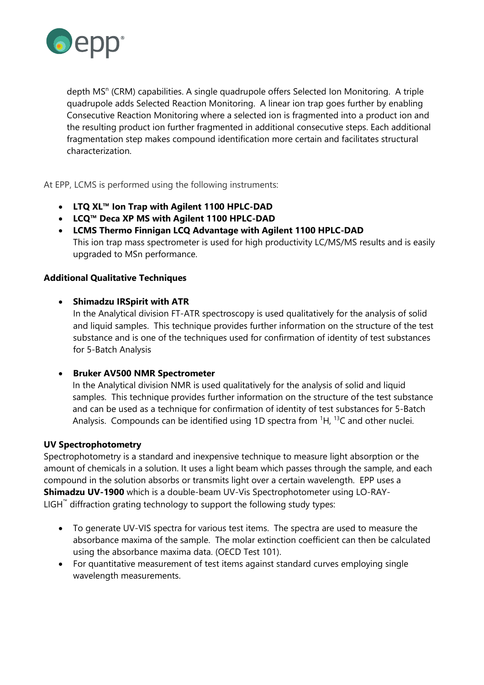

depth MS<sup>n</sup> (CRM) capabilities. A single quadrupole offers Selected Ion Monitoring. A triple quadrupole adds Selected Reaction Monitoring. A linear ion trap goes further by enabling Consecutive Reaction Monitoring where a selected ion is fragmented into a product ion and the resulting product ion further fragmented in additional consecutive steps. Each additional fragmentation step makes compound identification more certain and facilitates structural characterization.

At EPP, LCMS is performed using the following instruments:

- **LTQ XL™ Ion Trap with Agilent 1100 HPLC-DAD**
- **LCQ™ Deca XP MS with Agilent 1100 HPLC-DAD**
- **LCMS Thermo Finnigan LCQ Advantage with Agilent 1100 HPLC-DAD** This ion trap mass spectrometer is used for high productivity LC/MS/MS results and is easily upgraded to MSn performance.

#### **Additional Qualitative Techniques**

#### • **Shimadzu IRSpirit with ATR**

In the Analytical division FT-ATR spectroscopy is used qualitatively for the analysis of solid and liquid samples. This technique provides further information on the structure of the test substance and is one of the techniques used for confirmation of identity of test substances for 5-Batch Analysis

#### • **Bruker AV500 NMR Spectrometer**

In the Analytical division NMR is used qualitatively for the analysis of solid and liquid samples. This technique provides further information on the structure of the test substance and can be used as a technique for confirmation of identity of test substances for 5-Batch Analysis. Compounds can be identified using 1D spectra from  ${}^{1}H$ ,  ${}^{13}C$  and other nuclei.

#### **UV Spectrophotometry**

Spectrophotometry is a standard and inexpensive technique to measure light absorption or the amount of chemicals in a solution. It uses a light beam which passes through the sample, and each compound in the solution absorbs or transmits light over a certain wavelength. EPP uses a **Shimadzu UV-1900** which is a double-beam UV-Vis Spectrophotometer using LO-RAY-LIGH™ diffraction grating technology to support the following study types:

- To generate UV-VIS spectra for various test items. The spectra are used to measure the absorbance maxima of the sample. The molar extinction coefficient can then be calculated using the absorbance maxima data. (OECD Test 101).
- For quantitative measurement of test items against standard curves employing single wavelength measurements.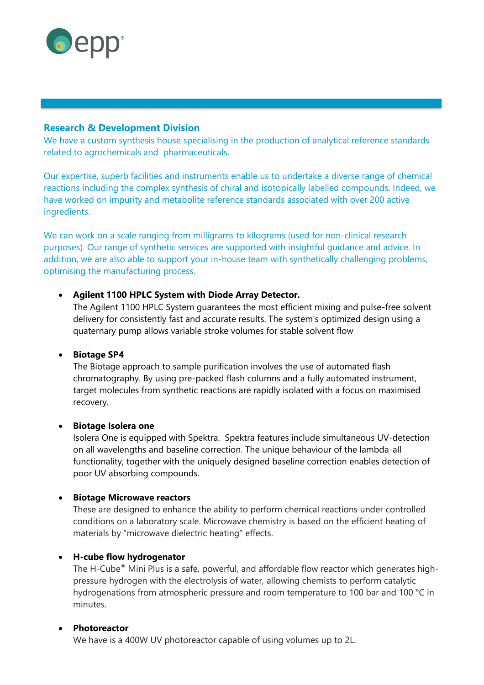

### **Research & Development Division**

We have a custom synthesis house specialising in the production of analytical reference standards related to agrochemicals and pharmaceuticals.

Our [expertise,](https://www.eppltd.com/about-us/meet-the-team/) [superb facilities and instruments](https://www.eppltd.com/facilities/) enable us to undertake a diverse range of chemical reactions including the complex synthesis of chiral and isotopically labelled compounds. Indeed, we have worked on impurity and metabolite reference standards associated with over 200 active ingredients.

We can work on a scale ranging from milligrams to kilograms (used for non-clinical research purposes). Our range of synthetic services are supported with insightful guidance and advice. In addition, we are also able to support your in-house team with synthetically challenging problems, optimising the manufacturing process.

#### • **Agilent 1100 HPLC System with Diode Array Detector.**

The Agilent 1100 HPLC System guarantees the most efficient mixing and pulse-free solvent delivery for consistently fast and accurate results. The system's optimized design using a quaternary pump allows variable stroke volumes for stable solvent flow

#### • **Biotage SP4**

The Biotage approach to sample purification involves the use of automated flash chromatography. By using pre-packed flash columns and a fully automated instrument, target molecules from synthetic reactions are rapidly isolated with a focus on maximised recovery.

#### • **Biotage Isolera one**

Isolera One is equipped with Spektra. Spektra features include simultaneous UV-detection on all wavelengths and baseline correction. The unique behaviour of the lambda-all functionality, together with the uniquely designed baseline correction enables detection of poor UV absorbing compounds.

#### • **Biotage Microwave reactors**

These are designed to enhance the ability to perform chemical reactions under controlled conditions on a laboratory scale. Microwave chemistry is based on the efficient heating of materials by "microwave dielectric heating" effects.

#### • **H-cube flow hydrogenator**

The H-Cube® Mini Plus is a safe, powerful, and affordable flow reactor which generates highpressure hydrogen with the electrolysis of water, allowing chemists to perform catalytic hydrogenations from atmospheric pressure and room temperature to 100 bar and 100 °C in minutes.

#### • **Photoreactor**

We have is a 400W UV photoreactor capable of using volumes up to 2L.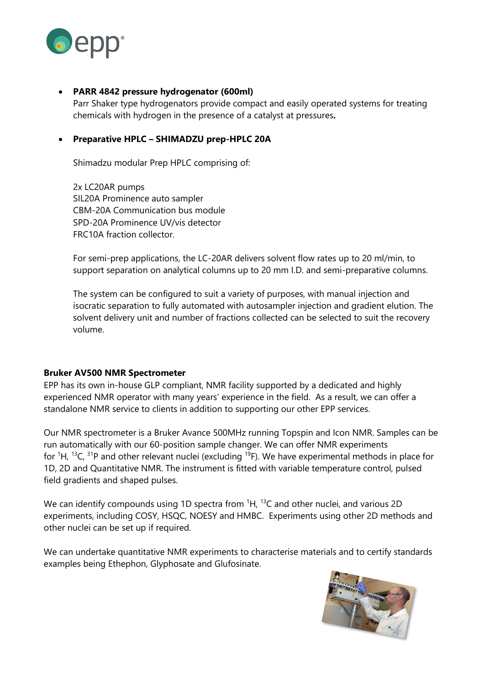

### • **PARR 4842 pressure hydrogenator (600ml)**

Parr Shaker type hydrogenators provide compact and easily operated systems for treating chemicals with hydrogen in the presence of a catalyst at pressures**.**

#### • **Preparative HPLC – SHIMADZU prep-HPLC 20A**

Shimadzu modular Prep HPLC comprising of:

2x LC20AR pumps SIL20A Prominence auto sampler CBM-20A Communication bus module SPD-20A Prominence UV/vis detector FRC10A fraction collector.

For semi-prep applications, the LC-20AR delivers solvent flow rates up to 20 ml/min, to support separation on analytical columns up to 20 mm I.D. and semi-preparative columns.

The system can be configured to suit a variety of purposes, with manual injection and isocratic separation to fully automated with autosampler injection and gradient elution. The solvent delivery unit and number of fractions collected can be selected to suit the recovery volume.

#### **Bruker AV500 NMR Spectrometer**

EPP has its own in-house GLP compliant, NMR facility supported by a dedicated and highly experienced NMR operator with many years' experience in the field. As a result, we can offer a standalone NMR service to clients in addition to supporting our other EPP services.

Our NMR spectrometer is a Bruker Avance 500MHz running Topspin and Icon NMR. Samples can be run automatically with our 60-position sample changer. We can offer NMR experiments for  ${}^{1}$ H,  ${}^{13}$ C,  ${}^{31}$ P and other relevant nuclei (excluding  ${}^{19}$ F). We have experimental methods in place for 1D, 2D and Quantitative NMR. The instrument is fitted with variable temperature control, pulsed field gradients and shaped pulses.

We can identify compounds using 1D spectra from  ${}^{1}H$ ,  ${}^{13}C$  and other nuclei, and various 2D experiments, including COSY, HSQC, NOESY and HMBC. Experiments using other 2D methods and other nuclei can be set up if required.

We can undertake quantitative NMR experiments to characterise materials and to certify standards examples being Ethephon, Glyphosate and Glufosinate.

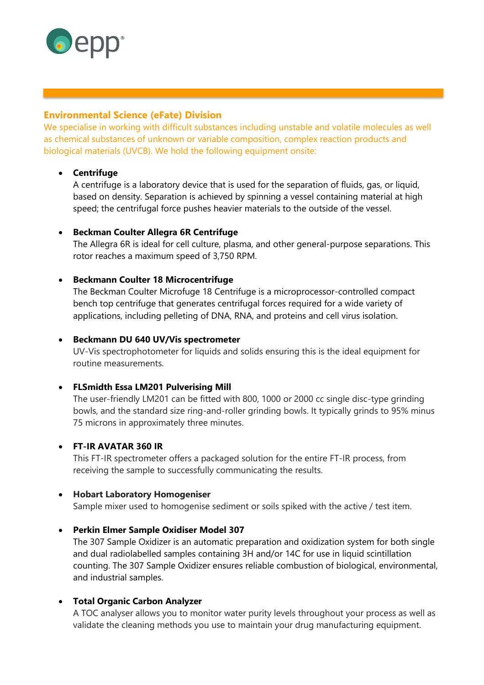

# **Environmental Science (eFate) Division**

We specialise in working with difficult substances including unstable and volatile molecules as well as chemical substances of unknown or variable composition, complex reaction products and biological materials (UVCB). We hold the following equipment onsite:

# • **Centrifuge**

A centrifuge is a laboratory device that is used for the separation of fluids, gas, or liquid, based on density. Separation is achieved by spinning a vessel containing material at high speed; the centrifugal force pushes heavier materials to the outside of the vessel.

# • **Beckman Coulter Allegra 6R Centrifuge**

The Allegra 6R is ideal for cell culture, plasma, and other general-purpose separations. This rotor reaches a maximum speed of 3,750 RPM.

# • **Beckmann Coulter 18 Microcentrifuge**

The Beckman Coulter Microfuge 18 Centrifuge is a microprocessor-controlled compact bench top centrifuge that generates centrifugal forces required for a wide variety of applications, including pelleting of DNA, RNA, and proteins and cell virus isolation.

# • **Beckmann DU 640 UV/Vis spectrometer**

UV-Vis spectrophotometer for liquids and solids ensuring this is the ideal equipment for routine measurements.

# • **FLSmidth Essa LM201 Pulverising Mill**

The user-friendly LM201 can be fitted with 800, 1000 or 2000 cc single disc-type grinding bowls, and the standard size ring-and-roller grinding bowls. It typically grinds to 95% minus 75 microns in approximately three minutes.

# • **FT-IR AVATAR 360 IR**

This FT-IR spectrometer offers a packaged solution for the entire FT-IR process, from receiving the sample to successfully communicating the results.

# • **Hobart Laboratory Homogeniser**

Sample mixer used to homogenise sediment or soils spiked with the active / test item.

# • **Perkin Elmer Sample Oxidiser Model 307**

The 307 Sample Oxidizer is an automatic preparation and oxidization system for both single and dual radiolabelled samples containing 3H and/or 14C for use in liquid scintillation counting. The 307 Sample Oxidizer ensures reliable combustion of biological, environmental, and industrial samples.

# • **Total Organic Carbon Analyzer**

A TOC analyser allows you to monitor water purity levels throughout your process as well as validate the cleaning methods you use to maintain your drug manufacturing equipment.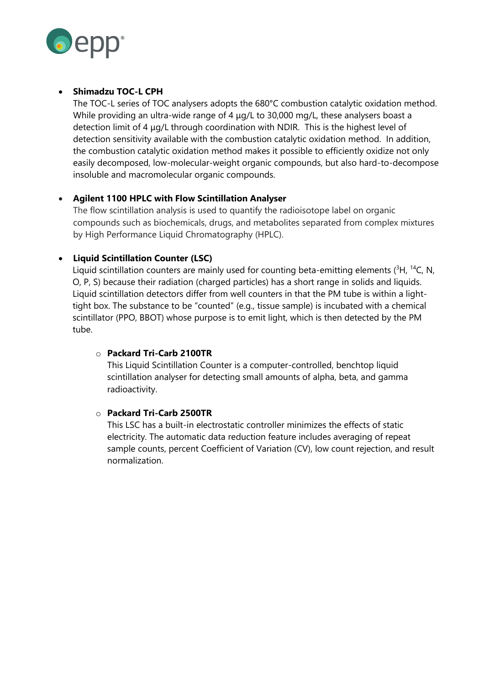

# • **Shimadzu TOC-L CPH**

The TOC-L series of TOC analysers adopts the 680°C combustion catalytic oxidation method. While providing an ultra-wide range of 4 μg/L to 30,000 mg/L, these analysers boast a detection limit of 4 μg/L through coordination with NDIR. This is the highest level of detection sensitivity available with the combustion catalytic oxidation method. In addition, the combustion catalytic oxidation method makes it possible to efficiently oxidize not only easily decomposed, low-molecular-weight organic compounds, but also hard-to-decompose insoluble and macromolecular organic compounds.

# • **Agilent 1100 HPLC with Flow Scintillation Analyser**

The flow scintillation analysis is used to quantify the radioisotope label on organic compounds such as biochemicals, drugs, and metabolites separated from complex mixtures by High Performance Liquid Chromatography (HPLC).

# • **Liquid Scintillation Counter (LSC)**

Liquid scintillation counters are mainly used for counting beta-emitting elements  $(^{3}H, ^{14}C, N,$ O, P, S) because their radiation (charged particles) has a short range in solids and liquids. Liquid scintillation detectors differ from well counters in that the PM tube is within a lighttight box. The substance to be "counted" (e.g., tissue sample) is incubated with a chemical scintillator (PPO, BBOT) whose purpose is to emit light, which is then detected by the PM tube.

# o **Packard Tri-Carb 2100TR**

This Liquid Scintillation Counter is a computer-controlled, benchtop liquid scintillation analyser for detecting small amounts of alpha, beta, and gamma radioactivity.

# o **Packard Tri-Carb 2500TR**

This LSC has a built-in electrostatic controller minimizes the effects of static electricity. The automatic data reduction feature includes averaging of repeat sample counts, percent Coefficient of Variation (CV), low count rejection, and result normalization.